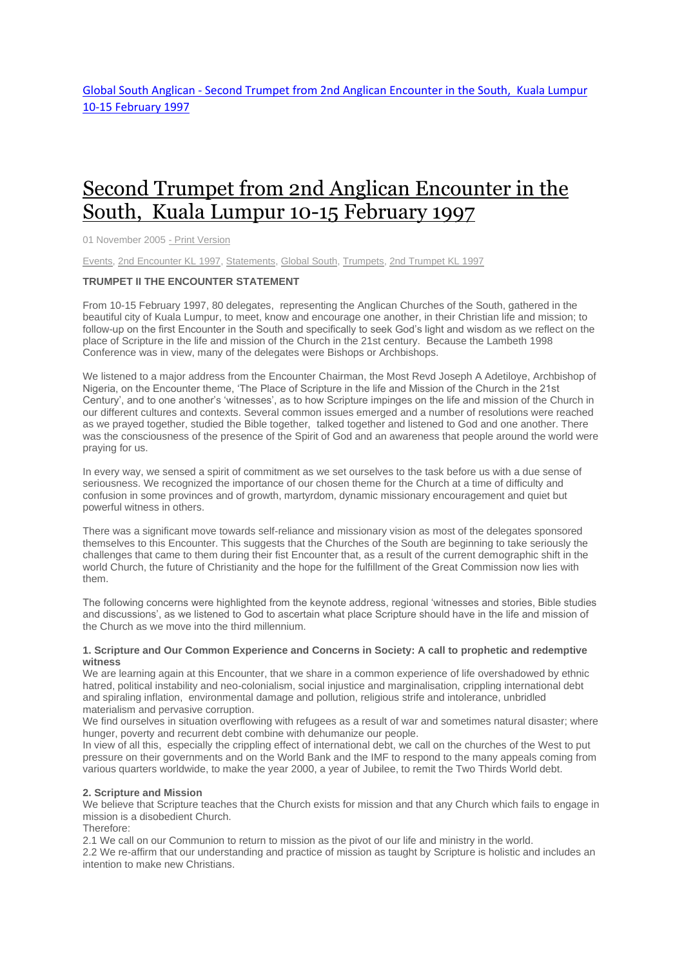Global South Anglican - [Second Trumpet from 2nd Anglican Encounter in the South,](http://www.globalsouthanglican.org/blog/comments/second_trumpet_from_2nd_anglican_encounter_in_the_south_kuala_lumpur_10_15) Kuala Lumpur [10-15 February 1997](http://www.globalsouthanglican.org/blog/comments/second_trumpet_from_2nd_anglican_encounter_in_the_south_kuala_lumpur_10_15)

# Second Trumpet from 2nd Anglican [Encounter](http://www.globalsouthanglican.org/index.php/blog/comments/second_trumpet_from_2nd_anglican_encounter_in_the_south_kuala_lumpur_10_15) in the South, Kuala Lumpur 10-15 [February](http://www.globalsouthanglican.org/index.php/blog/comments/second_trumpet_from_2nd_anglican_encounter_in_the_south_kuala_lumpur_10_15) 1997

01 November 2005 - Print [Version](http://globalsouthanglican.org/index.php/blog/printing/second_trumpet_from_2nd_anglican_encounter_in_the_south_kuala_lumpur_10_15)

[Events,](http://globalsouthanglican.org/index.php/archives/category/events) 2nd [Encounter](http://globalsouthanglican.org/index.php/archives/category/2nd_encounter_kl_1997) KL 1997, [Statements,](http://globalsouthanglican.org/index.php/archives/category/statements) [Global](http://globalsouthanglican.org/index.php/archives/category/global_south) South, [Trumpets,](http://globalsouthanglican.org/index.php/archives/category/trumpets) 2nd [Trumpet](http://globalsouthanglican.org/index.php/archives/category/2nd_trumpet_kl_1997) KL 1997

## **TRUMPET II THE ENCOUNTER STATEMENT**

From 10-15 February 1997, 80 delegates, representing the Anglican Churches of the South, gathered in the beautiful city of Kuala Lumpur, to meet, know and encourage one another, in their Christian life and mission; to follow-up on the first Encounter in the South and specifically to seek God's light and wisdom as we reflect on the place of Scripture in the life and mission of the Church in the 21st century. Because the Lambeth 1998 Conference was in view, many of the delegates were Bishops or Archbishops.

We listened to a major address from the Encounter Chairman, the Most Revd Joseph A Adetiloye, Archbishop of Nigeria, on the Encounter theme, 'The Place of Scripture in the life and Mission of the Church in the 21st Century', and to one another's 'witnesses', as to how Scripture impinges on the life and mission of the Church in our different cultures and contexts. Several common issues emerged and a number of resolutions were reached as we prayed together, studied the Bible together, talked together and listened to God and one another. There was the consciousness of the presence of the Spirit of God and an awareness that people around the world were praying for us.

In every way, we sensed a spirit of commitment as we set ourselves to the task before us with a due sense of seriousness. We recognized the importance of our chosen theme for the Church at a time of difficulty and confusion in some provinces and of growth, martyrdom, dynamic missionary encouragement and quiet but powerful witness in others.

There was a significant move towards self-reliance and missionary vision as most of the delegates sponsored themselves to this Encounter. This suggests that the Churches of the South are beginning to take seriously the challenges that came to them during their fist Encounter that, as a result of the current demographic shift in the world Church, the future of Christianity and the hope for the fulfillment of the Great Commission now lies with them.

The following concerns were highlighted from the keynote address, regional 'witnesses and stories, Bible studies and discussions', as we listened to God to ascertain what place Scripture should have in the life and mission of the Church as we move into the third millennium.

#### **1. Scripture and Our Common Experience and Concerns in Society: A call to prophetic and redemptive witness**

We are learning again at this Encounter, that we share in a common experience of life overshadowed by ethnic hatred, political instability and neo-colonialism, social injustice and marginalisation, crippling international debt and spiraling inflation, environmental damage and pollution, religious strife and intolerance, unbridled materialism and pervasive corruption.

We find ourselves in situation overflowing with refugees as a result of war and sometimes natural disaster; where hunger, poverty and recurrent debt combine with dehumanize our people.

In view of all this, especially the crippling effect of international debt, we call on the churches of the West to put pressure on their governments and on the World Bank and the IMF to respond to the many appeals coming from various quarters worldwide, to make the year 2000, a year of Jubilee, to remit the Two Thirds World debt.

#### **2. Scripture and Mission**

We believe that Scripture teaches that the Church exists for mission and that any Church which fails to engage in mission is a disobedient Church.

Therefore:

2.1 We call on our Communion to return to mission as the pivot of our life and ministry in the world.

2.2 We re-affirm that our understanding and practice of mission as taught by Scripture is holistic and includes an intention to make new Christians.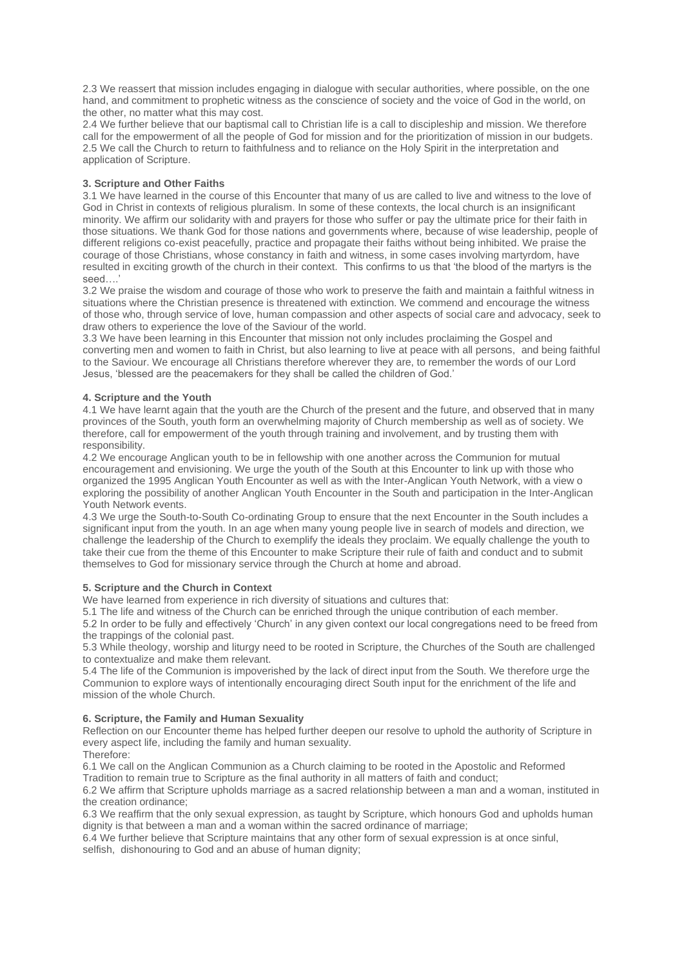2.3 We reassert that mission includes engaging in dialogue with secular authorities, where possible, on the one hand, and commitment to prophetic witness as the conscience of society and the voice of God in the world, on the other, no matter what this may cost.

2.4 We further believe that our baptismal call to Christian life is a call to discipleship and mission. We therefore call for the empowerment of all the people of God for mission and for the prioritization of mission in our budgets. 2.5 We call the Church to return to faithfulness and to reliance on the Holy Spirit in the interpretation and application of Scripture.

## **3. Scripture and Other Faiths**

3.1 We have learned in the course of this Encounter that many of us are called to live and witness to the love of God in Christ in contexts of religious pluralism. In some of these contexts, the local church is an insignificant minority. We affirm our solidarity with and prayers for those who suffer or pay the ultimate price for their faith in those situations. We thank God for those nations and governments where, because of wise leadership, people of different religions co-exist peacefully, practice and propagate their faiths without being inhibited. We praise the courage of those Christians, whose constancy in faith and witness, in some cases involving martyrdom, have resulted in exciting growth of the church in their context. This confirms to us that 'the blood of the martyrs is the seed….'

3.2 We praise the wisdom and courage of those who work to preserve the faith and maintain a faithful witness in situations where the Christian presence is threatened with extinction. We commend and encourage the witness of those who, through service of love, human compassion and other aspects of social care and advocacy, seek to draw others to experience the love of the Saviour of the world.

3.3 We have been learning in this Encounter that mission not only includes proclaiming the Gospel and converting men and women to faith in Christ, but also learning to live at peace with all persons, and being faithful to the Saviour. We encourage all Christians therefore wherever they are, to remember the words of our Lord Jesus, 'blessed are the peacemakers for they shall be called the children of God.'

#### **4. Scripture and the Youth**

4.1 We have learnt again that the youth are the Church of the present and the future, and observed that in many provinces of the South, youth form an overwhelming majority of Church membership as well as of society. We therefore, call for empowerment of the youth through training and involvement, and by trusting them with responsibility.

4.2 We encourage Anglican youth to be in fellowship with one another across the Communion for mutual encouragement and envisioning. We urge the youth of the South at this Encounter to link up with those who organized the 1995 Anglican Youth Encounter as well as with the Inter-Anglican Youth Network, with a view o exploring the possibility of another Anglican Youth Encounter in the South and participation in the Inter-Anglican Youth Network events.

4.3 We urge the South-to-South Co-ordinating Group to ensure that the next Encounter in the South includes a significant input from the youth. In an age when many young people live in search of models and direction, we challenge the leadership of the Church to exemplify the ideals they proclaim. We equally challenge the youth to take their cue from the theme of this Encounter to make Scripture their rule of faith and conduct and to submit themselves to God for missionary service through the Church at home and abroad.

## **5. Scripture and the Church in Context**

We have learned from experience in rich diversity of situations and cultures that:

5.1 The life and witness of the Church can be enriched through the unique contribution of each member.

5.2 In order to be fully and effectively 'Church' in any given context our local congregations need to be freed from the trappings of the colonial past.

5.3 While theology, worship and liturgy need to be rooted in Scripture, the Churches of the South are challenged to contextualize and make them relevant.

5.4 The life of the Communion is impoverished by the lack of direct input from the South. We therefore urge the Communion to explore ways of intentionally encouraging direct South input for the enrichment of the life and mission of the whole Church.

#### **6. Scripture, the Family and Human Sexuality**

Reflection on our Encounter theme has helped further deepen our resolve to uphold the authority of Scripture in every aspect life, including the family and human sexuality.

Therefore:

6.1 We call on the Anglican Communion as a Church claiming to be rooted in the Apostolic and Reformed Tradition to remain true to Scripture as the final authority in all matters of faith and conduct;

6.2 We affirm that Scripture upholds marriage as a sacred relationship between a man and a woman, instituted in the creation ordinance;

6.3 We reaffirm that the only sexual expression, as taught by Scripture, which honours God and upholds human dignity is that between a man and a woman within the sacred ordinance of marriage;

6.4 We further believe that Scripture maintains that any other form of sexual expression is at once sinful, selfish, dishonouring to God and an abuse of human dignity;